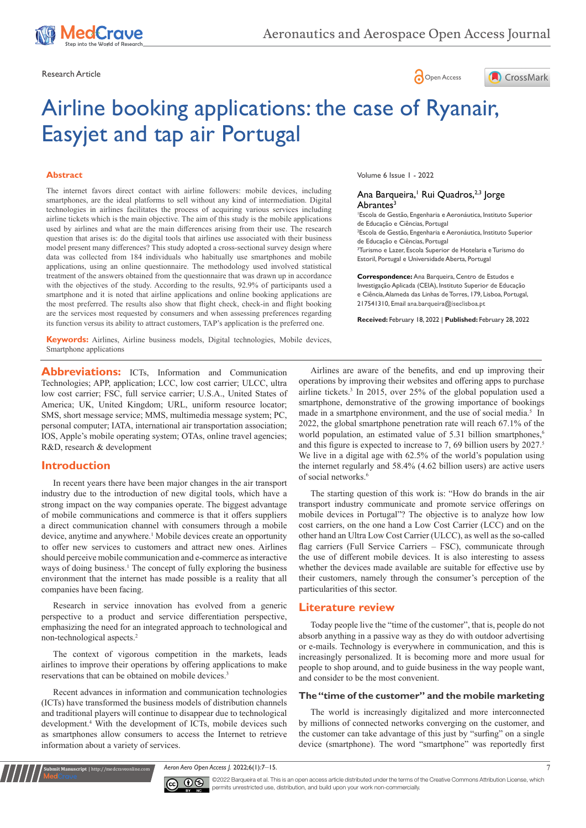





# Airline booking applications: the case of Ryanair, Easyjet and tap air Portugal

#### **Abstract**

The internet favors direct contact with airline followers: mobile devices, including smartphones, are the ideal platforms to sell without any kind of intermediation. Digital technologies in airlines facilitates the process of acquiring various services including airline tickets which is the main objective. The aim of this study is the mobile applications used by airlines and what are the main differences arising from their use. The research question that arises is: do the digital tools that airlines use associated with their business model present many differences? This study adopted a cross-sectional survey design where data was collected from 184 individuals who habitually use smartphones and mobile applications, using an online questionnaire. The methodology used involved statistical treatment of the answers obtained from the questionnaire that was drawn up in accordance with the objectives of the study. According to the results, 92.9% of participants used a smartphone and it is noted that airline applications and online booking applications are the most preferred. The results also show that flight check, check-in and flight booking are the services most requested by consumers and when assessing preferences regarding its function versus its ability to attract customers, TAP's application is the preferred one.

**Keywords:** Airlines, Airline business models, Digital technologies, Mobile devices, Smartphone applications

**Abbreviations:** ICTs, Information and Communication Technologies; APP, application; LCC, low cost carrier; ULCC, ultra low cost carrier; FSC, full service carrier; U.S.A., United States of America; UK, United Kingdom; URL, uniform resource locator; SMS, short message service; MMS, multimedia message system; PC, personal computer; IATA, international air transportation association; IOS, Apple's mobile operating system; OTAs, online travel agencies; R&D, research & development

# **Introduction**

In recent years there have been major changes in the air transport industry due to the introduction of new digital tools, which have a strong impact on the way companies operate. The biggest advantage of mobile communications and commerce is that it offers suppliers a direct communication channel with consumers through a mobile device, anytime and anywhere.<sup>1</sup> Mobile devices create an opportunity to offer new services to customers and attract new ones. Airlines should perceive mobile communication and e-commerce as interactive ways of doing business.<sup>1</sup> The concept of fully exploring the business environment that the internet has made possible is a reality that all companies have been facing.

Research in service innovation has evolved from a generic perspective to a product and service differentiation perspective, emphasizing the need for an integrated approach to technological and non-technological aspects.2

The context of vigorous competition in the markets, leads airlines to improve their operations by offering applications to make reservations that can be obtained on mobile devices.<sup>3</sup>

Recent advances in information and communication technologies (ICTs) have transformed the business models of distribution channels and traditional players will continue to disappear due to technological development.4 With the development of ICTs, mobile devices such as smartphones allow consumers to access the Internet to retrieve information about a variety of services.

**it Manuscript** | http://medcraveonline.c

Volume 6 Issue 1 - 2022

#### Ana Barqueira,<sup>1</sup> Rui Quadros,<sup>2,3</sup> Jorge Abrantes<sup>3</sup>

1 Escola de Gestão, Engenharia e Aeronáutica, Instituto Superior de Educação e Ciências, Portugal

2 Escola de Gestão, Engenharia e Aeronáutica, Instituto Superior de Educação e Ciências, Portugal

3 Turismo e Lazer, Escola Superior de Hotelaria e Turismo do Estoril, Portugal e Universidade Aberta, Portugal

**Correspondence:** Ana Barqueira, Centro de Estudos e Investigação Aplicada (CEIA), Instituto Superior de Educação e Ciência, Alameda das Linhas de Torres, 179, Lisboa, Portugal, 217541310, Email ana.barqueira@iseclisboa.pt

**Received:** February 18, 2022 | **Published:** February 28, 2022

Airlines are aware of the benefits, and end up improving their operations by improving their websites and offering apps to purchase airline tickets.3 In 2015, over 25% of the global population used a smartphone, demonstrative of the growing importance of bookings made in a smartphone environment, and the use of social media.<sup>5</sup> In 2022, the global smartphone penetration rate will reach 67.1% of the world population, an estimated value of 5.31 billion smartphones,<sup>6</sup> and this figure is expected to increase to 7, 69 billion users by 2027.<sup>5</sup> We live in a digital age with 62.5% of the world's population using the internet regularly and 58.4% (4.62 billion users) are active users of social networks.<sup>6</sup>

The starting question of this work is: "How do brands in the air transport industry communicate and promote service offerings on mobile devices in Portugal"? The objective is to analyze how low cost carriers, on the one hand a Low Cost Carrier (LCC) and on the other hand an Ultra Low Cost Carrier (ULCC), as well as the so-called flag carriers (Full Service Carriers – FSC), communicate through the use of different mobile devices. It is also interesting to assess whether the devices made available are suitable for effective use by their customers, namely through the consumer's perception of the particularities of this sector.

# **Literature review**

Today people live the "time of the customer", that is, people do not absorb anything in a passive way as they do with outdoor advertising or e-mails. Technology is everywhere in communication, and this is increasingly personalized. It is becoming more and more usual for people to shop around, and to guide business in the way people want, and consider to be the most convenient.

# **The "time of the customer" and the mobile marketing**

The world is increasingly digitalized and more interconnected by millions of connected networks converging on the customer, and the customer can take advantage of this just by "surfing" on a single device (smartphone). The word "smartphone" was reportedly first

*Aeron Aero Open Access J.* 2022;6(1):7‒15. 7



©2022 Barqueira et al. This is an open access article distributed under the terms of the [Creative Commons Attribution License,](https://creativecommons.org/licenses/by-nc/4.0/) which permits unrestricted use, distribution, and build upon your work non-commercially.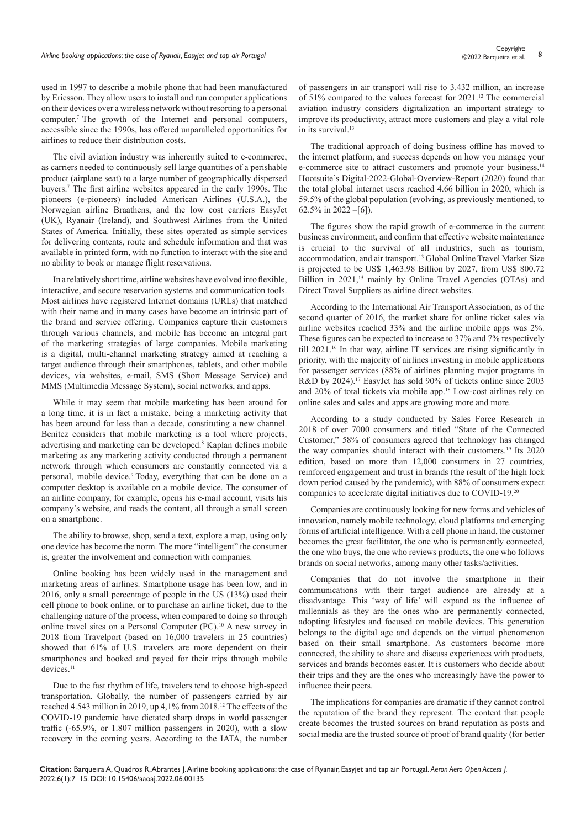# *Airline booking applications: the case of Ryanair, Easyjet and tap air Portugal* **<sup>8</sup>** Copyright:

used in 1997 to describe a mobile phone that had been manufactured by Ericsson. They allow users to install and run computer applications on their devices over a wireless network without resorting to a personal computer.7 The growth of the Internet and personal computers, accessible since the 1990s, has offered unparalleled opportunities for airlines to reduce their distribution costs.

The civil aviation industry was inherently suited to e-commerce, as carriers needed to continuously sell large quantities of a perishable product (airplane seat) to a large number of geographically dispersed buyers.7 The first airline websites appeared in the early 1990s. The pioneers (e-pioneers) included American Airlines (U.S.A.), the Norwegian airline Braathens, and the low cost carriers EasyJet (UK), Ryanair (Ireland), and Southwest Airlines from the United States of America. Initially, these sites operated as simple services for delivering contents, route and schedule information and that was available in printed form, with no function to interact with the site and no ability to book or manage flight reservations.

In a relatively short time, airline websites have evolved into flexible, interactive, and secure reservation systems and communication tools. Most airlines have registered Internet domains (URLs) that matched with their name and in many cases have become an intrinsic part of the brand and service offering. Companies capture their customers through various channels, and mobile has become an integral part of the marketing strategies of large companies. Mobile marketing is a digital, multi-channel marketing strategy aimed at reaching a target audience through their smartphones, tablets, and other mobile devices, via websites, e-mail, SMS (Short Message Service) and MMS (Multimedia Message System), social networks, and apps.

While it may seem that mobile marketing has been around for a long time, it is in fact a mistake, being a marketing activity that has been around for less than a decade, constituting a new channel. Benitez considers that mobile marketing is a tool where projects, advertising and marketing can be developed.<sup>8</sup> Kaplan defines mobile marketing as any marketing activity conducted through a permanent network through which consumers are constantly connected via a personal, mobile device.<sup>9</sup> Today, everything that can be done on a computer desktop is available on a mobile device. The consumer of an airline company, for example, opens his e-mail account, visits his company's website, and reads the content, all through a small screen on a smartphone.

The ability to browse, shop, send a text, explore a map, using only one device has become the norm. The more "intelligent" the consumer is, greater the involvement and connection with companies.

Online booking has been widely used in the management and marketing areas of airlines. Smartphone usage has been low, and in 2016, only a small percentage of people in the US (13%) used their cell phone to book online, or to purchase an airline ticket, due to the challenging nature of the process, when compared to doing so through online travel sites on a Personal Computer (PC).10 A new survey in 2018 from Travelport (based on 16,000 travelers in 25 countries) showed that 61% of U.S. travelers are more dependent on their smartphones and booked and payed for their trips through mobile devices.<sup>11</sup>

Due to the fast rhythm of life, travelers tend to choose high-speed transportation. Globally, the number of passengers carried by air reached 4.543 million in 2019, up 4,1% from 2018.<sup>12</sup> The effects of the COVID-19 pandemic have dictated sharp drops in world passenger traffic (-65.9%, or 1.807 million passengers in 2020), with a slow recovery in the coming years. According to the IATA, the number of passengers in air transport will rise to 3.432 million, an increase of 51% compared to the values forecast for 2021.12 The commercial aviation industry considers digitalization an important strategy to improve its productivity, attract more customers and play a vital role in its survival.<sup>13</sup>

The traditional approach of doing business offline has moved to the internet platform, and success depends on how you manage your e-commerce site to attract customers and promote your business.<sup>14</sup> Hootsuite's Digital-2022-Global-Overview-Report (2020) found that the total global internet users reached 4.66 billion in 2020, which is 59.5% of the global population (evolving, as previously mentioned, to 62.5% in 2022 –[6]).

The figures show the rapid growth of e-commerce in the current business environment, and confirm that effective website maintenance is crucial to the survival of all industries, such as tourism, accommodation, and air transport.13 Global Online Travel Market Size is projected to be US\$ 1,463.98 Billion by 2027, from US\$ 800.72 Billion in 2021,<sup>15</sup> mainly by Online Travel Agencies (OTAs) and Direct Travel Suppliers as airline direct websites.

According to the International Air Transport Association, as of the second quarter of 2016, the market share for online ticket sales via airline websites reached 33% and the airline mobile apps was 2%. These figures can be expected to increase to 37% and 7% respectively till 2021.<sup>16</sup> In that way, airline IT services are rising significantly in priority, with the majority of airlines investing in mobile applications for passenger services (88% of airlines planning major programs in R&D by 2024).17 EasyJet has sold 90% of tickets online since 2003 and 20% of total tickets via mobile app.18 Low-cost airlines rely on online sales and sales and apps are growing more and more.

According to a study conducted by Sales Force Research in 2018 of over 7000 consumers and titled "State of the Connected Customer," 58% of consumers agreed that technology has changed the way companies should interact with their customers.<sup>19</sup> Its 2020 edition, based on more than 12,000 consumers in 27 countries, reinforced engagement and trust in brands (the result of the high lock down period caused by the pandemic), with 88% of consumers expect companies to accelerate digital initiatives due to COVID-19.<sup>20</sup>

Companies are continuously looking for new forms and vehicles of innovation, namely mobile technology, cloud platforms and emerging forms of artificial intelligence. With a cell phone in hand, the customer becomes the great facilitator, the one who is permanently connected, the one who buys, the one who reviews products, the one who follows brands on social networks, among many other tasks/activities.

Companies that do not involve the smartphone in their communications with their target audience are already at a disadvantage. This 'way of life' will expand as the influence of millennials as they are the ones who are permanently connected, adopting lifestyles and focused on mobile devices. This generation belongs to the digital age and depends on the virtual phenomenon based on their small smartphone. As customers become more connected, the ability to share and discuss experiences with products, services and brands becomes easier. It is customers who decide about their trips and they are the ones who increasingly have the power to influence their peers.

The implications for companies are dramatic if they cannot control the reputation of the brand they represent. The content that people create becomes the trusted sources on brand reputation as posts and social media are the trusted source of proof of brand quality (for better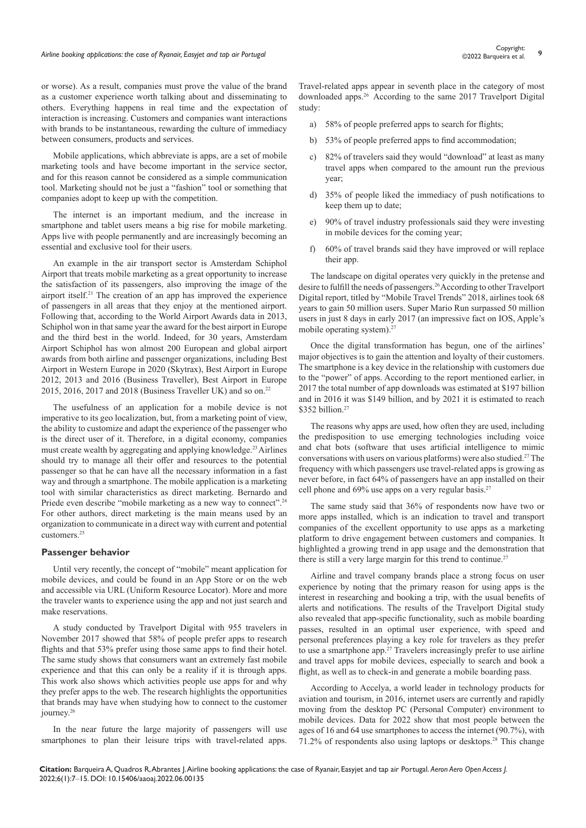or worse). As a result, companies must prove the value of the brand as a customer experience worth talking about and disseminating to others. Everything happens in real time and the expectation of interaction is increasing. Customers and companies want interactions with brands to be instantaneous, rewarding the culture of immediacy between consumers, products and services.

Mobile applications, which abbreviate is apps, are a set of mobile marketing tools and have become important in the service sector, and for this reason cannot be considered as a simple communication tool. Marketing should not be just a "fashion" tool or something that companies adopt to keep up with the competition.

The internet is an important medium, and the increase in smartphone and tablet users means a big rise for mobile marketing. Apps live with people permanently and are increasingly becoming an essential and exclusive tool for their users.

An example in the air transport sector is Amsterdam Schiphol Airport that treats mobile marketing as a great opportunity to increase the satisfaction of its passengers, also improving the image of the airport itself.21 The creation of an app has improved the experience of passengers in all areas that they enjoy at the mentioned airport. Following that, according to the World Airport Awards data in 2013, Schiphol won in that same year the award for the best airport in Europe and the third best in the world. Indeed, for 30 years, Amsterdam Airport Schiphol has won almost 200 European and global airport awards from both airline and passenger organizations, including Best Airport in Western Europe in 2020 (Skytrax), Best Airport in Europe 2012, 2013 and 2016 (Business Traveller), Best Airport in Europe 2015, 2016, 2017 and 2018 (Business Traveller UK) and so on.<sup>22</sup>

The usefulness of an application for a mobile device is not imperative to its geo localization, but, from a marketing point of view, the ability to customize and adapt the experience of the passenger who is the direct user of it. Therefore, in a digital economy, companies must create wealth by aggregating and applying knowledge.<sup>23</sup> Airlines should try to manage all their offer and resources to the potential passenger so that he can have all the necessary information in a fast way and through a smartphone. The mobile application is a marketing tool with similar characteristics as direct marketing. Bernardo and Priede even describe "mobile marketing as a new way to connect".<sup>24</sup> For other authors, direct marketing is the main means used by an organization to communicate in a direct way with current and potential customers.25

#### **Passenger behavior**

Until very recently, the concept of "mobile" meant application for mobile devices, and could be found in an App Store or on the web and accessible via URL (Uniform Resource Locator). More and more the traveler wants to experience using the app and not just search and make reservations.

A study conducted by Travelport Digital with 955 travelers in November 2017 showed that 58% of people prefer apps to research flights and that 53% prefer using those same apps to find their hotel. The same study shows that consumers want an extremely fast mobile experience and that this can only be a reality if it is through apps. This work also shows which activities people use apps for and why they prefer apps to the web. The research highlights the opportunities that brands may have when studying how to connect to the customer journey.<sup>26</sup>

In the near future the large majority of passengers will use smartphones to plan their leisure trips with travel-related apps.

Travel-related apps appear in seventh place in the category of most downloaded apps.26 According to the same 2017 Travelport Digital study:

- a) 58% of people preferred apps to search for flights;
- b) 53% of people preferred apps to find accommodation;
- 82% of travelers said they would "download" at least as many travel apps when compared to the amount run the previous year;
- d) 35% of people liked the immediacy of push notifications to keep them up to date;
- e) 90% of travel industry professionals said they were investing in mobile devices for the coming year;
- f) 60% of travel brands said they have improved or will replace their app.

The landscape on digital operates very quickly in the pretense and desire to fulfill the needs of passengers.<sup>26</sup> According to other Travelport Digital report, titled by "Mobile Travel Trends" 2018, airlines took 68 years to gain 50 million users. Super Mario Run surpassed 50 million users in just 8 days in early 2017 (an impressive fact on IOS, Apple's mobile operating system).<sup>27</sup>

Once the digital transformation has begun, one of the airlines' major objectives is to gain the attention and loyalty of their customers. The smartphone is a key device in the relationship with customers due to the "power" of apps. According to the report mentioned earlier, in 2017 the total number of app downloads was estimated at \$197 billion and in 2016 it was \$149 billion, and by 2021 it is estimated to reach \$352 billion.<sup>27</sup>

The reasons why apps are used, how often they are used, including the predisposition to use emerging technologies including voice and chat bots (software that uses artificial intelligence to mimic conversations with users on various platforms) were also studied.27 The frequency with which passengers use travel-related apps is growing as never before, in fact 64% of passengers have an app installed on their cell phone and 69% use apps on a very regular basis.<sup>27</sup>

The same study said that 36% of respondents now have two or more apps installed, which is an indication to travel and transport companies of the excellent opportunity to use apps as a marketing platform to drive engagement between customers and companies. It highlighted a growing trend in app usage and the demonstration that there is still a very large margin for this trend to continue.<sup>27</sup>

Airline and travel company brands place a strong focus on user experience by noting that the primary reason for using apps is the interest in researching and booking a trip, with the usual benefits of alerts and notifications. The results of the Travelport Digital study also revealed that app-specific functionality, such as mobile boarding passes, resulted in an optimal user experience, with speed and personal preferences playing a key role for travelers as they prefer to use a smartphone app.<sup>27</sup> Travelers increasingly prefer to use airline and travel apps for mobile devices, especially to search and book a flight, as well as to check-in and generate a mobile boarding pass.

According to Accelya, a world leader in technology products for aviation and tourism, in 2016, internet users are currently and rapidly moving from the desktop PC (Personal Computer) environment to mobile devices. Data for 2022 show that most people between the ages of 16 and 64 use smartphones to access the internet (90.7%), with 71.2% of respondents also using laptops or desktops.28 This change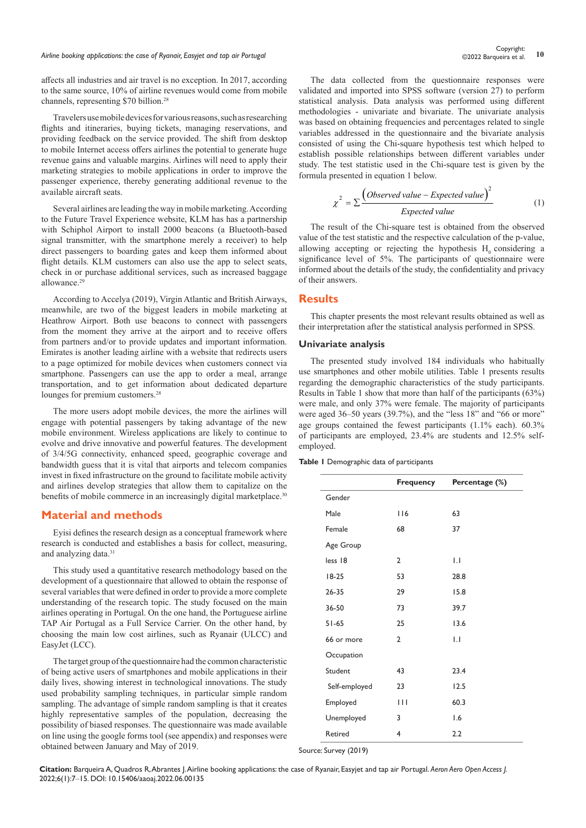affects all industries and air travel is no exception. In 2017, according to the same source, 10% of airline revenues would come from mobile channels, representing \$70 billion.<sup>28</sup>

Travelers use mobile devices for various reasons, such as researching flights and itineraries, buying tickets, managing reservations, and providing feedback on the service provided. The shift from desktop to mobile Internet access offers airlines the potential to generate huge revenue gains and valuable margins. Airlines will need to apply their marketing strategies to mobile applications in order to improve the passenger experience, thereby generating additional revenue to the available aircraft seats.

Several airlines are leading the way in mobile marketing. According to the Future Travel Experience website, KLM has has a partnership with Schiphol Airport to install 2000 beacons (a Bluetooth-based signal transmitter, with the smartphone merely a receiver) to help direct passengers to boarding gates and keep them informed about flight details. KLM customers can also use the app to select seats, check in or purchase additional services, such as increased baggage allowance.<sup>29</sup>

According to Accelya (2019), Virgin Atlantic and British Airways, meanwhile, are two of the biggest leaders in mobile marketing at Heathrow Airport. Both use beacons to connect with passengers from the moment they arrive at the airport and to receive offers from partners and/or to provide updates and important information. Emirates is another leading airline with a website that redirects users to a page optimized for mobile devices when customers connect via smartphone. Passengers can use the app to order a meal, arrange transportation, and to get information about dedicated departure lounges for premium customers.<sup>28</sup>

The more users adopt mobile devices, the more the airlines will engage with potential passengers by taking advantage of the new mobile environment. Wireless applications are likely to continue to evolve and drive innovative and powerful features. The development of 3/4/5G connectivity, enhanced speed, geographic coverage and bandwidth guess that it is vital that airports and telecom companies invest in fixed infrastructure on the ground to facilitate mobile activity and airlines develop strategies that allow them to capitalize on the benefits of mobile commerce in an increasingly digital marketplace.<sup>30</sup>

### **Material and methods**

Eyisi defines the research design as a conceptual framework where research is conducted and establishes a basis for collect, measuring, and analyzing data.<sup>31</sup>

This study used a quantitative research methodology based on the development of a questionnaire that allowed to obtain the response of several variables that were defined in order to provide a more complete understanding of the research topic. The study focused on the main airlines operating in Portugal. On the one hand, the Portuguese airline TAP Air Portugal as a Full Service Carrier. On the other hand, by choosing the main low cost airlines, such as Ryanair (ULCC) and EasyJet (LCC).

The target group of the questionnaire had the common characteristic of being active users of smartphones and mobile applications in their daily lives, showing interest in technological innovations. The study used probability sampling techniques, in particular simple random sampling. The advantage of simple random sampling is that it creates highly representative samples of the population, decreasing the possibility of biased responses. The questionnaire was made available on line using the google forms tool (see appendix) and responses were obtained between January and May of 2019.

The data collected from the questionnaire responses were validated and imported into SPSS software (version 27) to perform statistical analysis. Data analysis was performed using different methodologies - univariate and bivariate. The univariate analysis was based on obtaining frequencies and percentages related to single variables addressed in the questionnaire and the bivariate analysis consisted of using the Chi-square hypothesis test which helped to establish possible relationships between different variables under study. The test statistic used in the Chi-square test is given by the formula presented in equation 1 below.

$$
\chi^2 = \sum \frac{\left(Observed\ value - Expected\ value\right)^2}{Expected\ value} \tag{1}
$$

The result of the Chi-square test is obtained from the observed value of the test statistic and the respective calculation of the p-value, allowing accepting or rejecting the hypothesis  $H_0$  considering a significance level of 5%. The participants of questionnaire were informed about the details of the study, the confidentiality and privacy of their answers.

#### **Results**

This chapter presents the most relevant results obtained as well as their interpretation after the statistical analysis performed in SPSS.

#### **Univariate analysis**

The presented study involved 184 individuals who habitually use smartphones and other mobile utilities. Table 1 presents results regarding the demographic characteristics of the study participants. Results in Table 1 show that more than half of the participants (63%) were male, and only 37% were female. The majority of participants were aged 36–50 years (39.7%), and the "less 18" and "66 or more" age groups contained the fewest participants (1.1% each). 60.3% of participants are employed, 23.4% are students and 12.5% selfemployed.

#### **Table 1** Demographic data of participants

|               | Frequency      | Percentage (%)   |
|---------------|----------------|------------------|
| Gender        |                |                  |
| Male          | 116            | 63               |
| Female        | 68             | 37               |
| Age Group     |                |                  |
| less 18       | $\overline{2}$ | $\overline{1}$ . |
| $18-25$       | 53             | 28.8             |
| $26 - 35$     | 29             | 15.8             |
| 36-50         | 73             | 39.7             |
| $51 - 65$     | 25             | 13.6             |
| 66 or more    | $\overline{2}$ | $\overline{1}$ . |
| Occupation    |                |                  |
| Student       | 43             | 23.4             |
| Self-employed | 23             | 12.5             |
| Employed      | $\mathbf{H}$   | 60.3             |
| Unemployed    | 3              | 1.6              |
| Retired       | 4              | 2.2              |

Source: Survey (2019)

**Citation:** Barqueira A, Quadros R, Abrantes J. Airline booking applications: the case of Ryanair, Easyjet and tap air Portugal. *Aeron Aero Open Access J.* 2022;6(1):7‒15. DOI: [10.15406/aaoaj.2022.06.00135](https://doi.org/10.15406/aaoaj.2022.06.00135)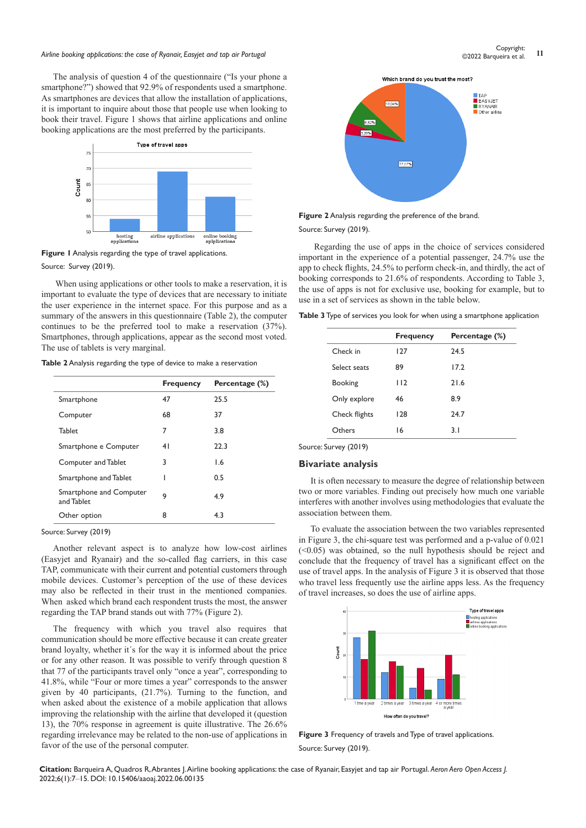# *Airline booking applications: the case of Ryanair, Easyjet and tap air Portugal* **<sup>11</sup>** Copyright:

The analysis of question 4 of the questionnaire ("Is your phone a smartphone?") showed that 92.9% of respondents used a smartphone. As smartphones are devices that allow the installation of applications, it is important to inquire about those that people use when looking to book their travel. Figure 1 shows that airline applications and online booking applications are the most preferred by the participants.



**Figure 1** Analysis regarding the type of travel applications. Source: Survey (2019).

When using applications or other tools to make a reservation, it is important to evaluate the type of devices that are necessary to initiate the user experience in the internet space. For this purpose and as a summary of the answers in this questionnaire (Table 2), the computer continues to be the preferred tool to make a reservation (37%). Smartphones, through applications, appear as the second most voted. The use of tablets is very marginal.

| Table 2 Analysis regarding the type of device to make a reservation |  |  |
|---------------------------------------------------------------------|--|--|
|---------------------------------------------------------------------|--|--|

|                                       | <b>Frequency</b> | Percentage (%) |
|---------------------------------------|------------------|----------------|
| Smartphone                            | 47               | 25.5           |
| Computer                              | 68               | 37             |
| <b>Tablet</b>                         | 7                | 3.8            |
| Smartphone e Computer                 | 41               | 22.3           |
| Computer and Tablet                   | 3                | 1.6            |
| Smartphone and Tablet                 |                  | 0.5            |
| Smartphone and Computer<br>and Tablet | 9                | 4.9            |
| Other option                          | 8                | 4.3            |

Source: Survey (2019)

Another relevant aspect is to analyze how low-cost airlines (Easyjet and Ryanair) and the so-called flag carriers, in this case TAP, communicate with their current and potential customers through mobile devices. Customer's perception of the use of these devices may also be reflected in their trust in the mentioned companies. When asked which brand each respondent trusts the most, the answer regarding the TAP brand stands out with 77% (Figure 2).

The frequency with which you travel also requires that communication should be more effective because it can create greater brand loyalty, whether it´s for the way it is informed about the price or for any other reason. It was possible to verify through question 8 that 77 of the participants travel only "once a year", corresponding to 41.8%, while "Four or more times a year" corresponds to the answer given by 40 participants, (21.7%). Turning to the function, and when asked about the existence of a mobile application that allows improving the relationship with the airline that developed it (question 13), the 70% response in agreement is quite illustrative. The 26.6% regarding irrelevance may be related to the non-use of applications in favor of the use of the personal computer.



**Figure 2** Analysis regarding the preference of the brand.

Source: Survey (2019).

Regarding the use of apps in the choice of services considered important in the experience of a potential passenger, 24.7% use the app to check flights, 24.5% to perform check-in, and thirdly, the act of booking corresponds to 21.6% of respondents. According to Table 3, the use of apps is not for exclusive use, booking for example, but to use in a set of services as shown in the table below.

**Table 3** Type of services you look for when using a smartphone application

|                | <b>Frequency</b> | Percentage (%) |
|----------------|------------------|----------------|
| Check in       | 127              | 24.5           |
| Select seats   | 89               | 17.2           |
| <b>Booking</b> | 112              | 21.6           |
| Only explore   | 46               | 8.9            |
| Check flights  | 128              | 24.7           |
| Others         | 16               | 3.1            |

### **Bivariate analysis**

It is often necessary to measure the degree of relationship between two or more variables. Finding out precisely how much one variable interferes with another involves using methodologies that evaluate the association between them.

To evaluate the association between the two variables represented in Figure 3, the chi-square test was performed and a p-value of 0.021 (<0.05) was obtained, so the null hypothesis should be reject and conclude that the frequency of travel has a significant effect on the use of travel apps. In the analysis of Figure 3 it is observed that those who travel less frequently use the airline apps less. As the frequency of travel increases, so does the use of airline apps.



**Figure 3** Frequency of travels and Type of travel applications. Source: Survey (2019).

**Citation:** Barqueira A, Quadros R, Abrantes J. Airline booking applications: the case of Ryanair, Easyjet and tap air Portugal. *Aeron Aero Open Access J.* 2022;6(1):7‒15. DOI: [10.15406/aaoaj.2022.06.00135](https://doi.org/10.15406/aaoaj.2022.06.00135)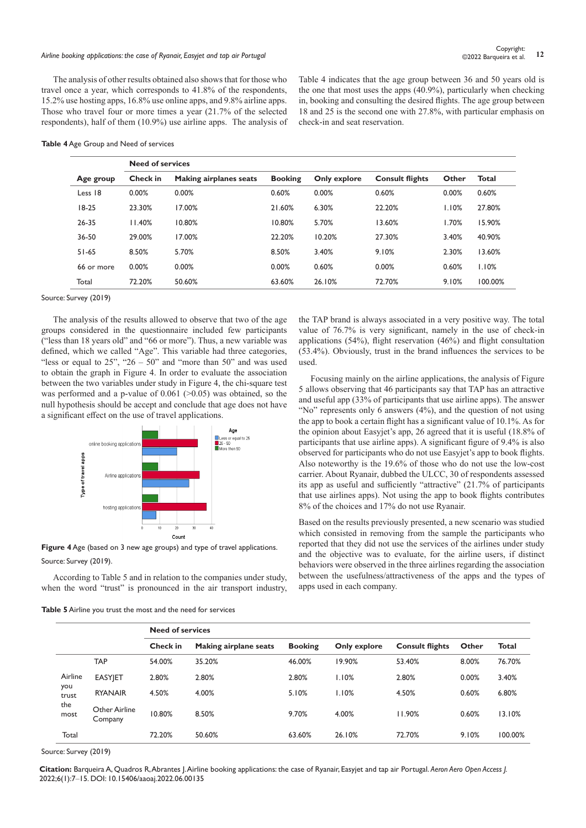# *Airline booking applications: the case of Ryanair, Easyjet and tap air Portugal* **<sup>12</sup>** Copyright:

The analysis of other results obtained also shows that for those who travel once a year, which corresponds to 41.8% of the respondents, 15.2% use hosting apps, 16.8% use online apps, and 9.8% airline apps. Those who travel four or more times a year (21.7% of the selected respondents), half of them (10.9%) use airline apps. The analysis of Table 4 indicates that the age group between 36 and 50 years old is the one that most uses the apps (40.9%), particularly when checking in, booking and consulting the desired flights. The age group between 18 and 25 is the second one with 27.8%, with particular emphasis on check-in and seat reservation.

#### **Table 4** Age Group and Need of services

|            | <b>Need of services</b> |                               |                |              |                        |       |              |
|------------|-------------------------|-------------------------------|----------------|--------------|------------------------|-------|--------------|
| Age group  | Check in                | <b>Making airplanes seats</b> | <b>Booking</b> | Only explore | <b>Consult flights</b> | Other | <b>Total</b> |
| Less 18    | 0.00%                   | 0.00%                         | 0.60%          | 0.00%        | 0.60%                  | 0.00% | 0.60%        |
| $18-25$    | 23.30%                  | 17.00%                        | 21.60%         | 6.30%        | 22.20%                 | 1.10% | 27.80%       |
| 26-35      | 11.40%                  | 10.80%                        | 10.80%         | 5.70%        | 13.60%                 | 1.70% | 15.90%       |
| 36-50      | 29.00%                  | 17.00%                        | 22.20%         | 10.20%       | 27.30%                 | 3.40% | 40.90%       |
| $51 - 65$  | 8.50%                   | 5.70%                         | 8.50%          | 3.40%        | 9.10%                  | 2.30% | 13.60%       |
| 66 or more | 0.00%                   | 0.00%                         | 0.00%          | 0.60%        | 0.00%                  | 0.60% | 1.10%        |
| Total      | 72.20%                  | 50.60%                        | 63.60%         | 26.10%       | 72.70%                 | 9.10% | 100.00%      |

Source: Survey (2019)

The analysis of the results allowed to observe that two of the age groups considered in the questionnaire included few participants ("less than 18 years old" and "66 or more"). Thus, a new variable was defined, which we called "Age". This variable had three categories, "less or equal to  $25$ ", " $26 - 50$ " and "more than  $50$ " and was used to obtain the graph in Figure 4. In order to evaluate the association between the two variables under study in Figure 4, the chi-square test was performed and a p-value of  $0.061$  ( $> 0.05$ ) was obtained, so the null hypothesis should be accept and conclude that age does not have a significant effect on the use of travel applications.



**Figure 4** Age (based on 3 new age groups) and type of travel applications. Source: Survey (2019).

According to Table 5 and in relation to the companies under study, when the word "trust" is pronounced in the air transport industry,

**Table 5** Airline you trust the most and the need for services

the TAP brand is always associated in a very positive way. The total value of 76.7% is very significant, namely in the use of check-in applications (54%), flight reservation (46%) and flight consultation (53.4%). Obviously, trust in the brand influences the services to be used.

Focusing mainly on the airline applications, the analysis of Figure 5 allows observing that 46 participants say that TAP has an attractive and useful app (33% of participants that use airline apps). The answer "No" represents only 6 answers (4%), and the question of not using the app to book a certain flight has a significant value of 10.1%. As for the opinion about Easyjet's app, 26 agreed that it is useful (18.8% of participants that use airline apps). A significant figure of 9.4% is also observed for participants who do not use Easyjet's app to book flights. Also noteworthy is the 19.6% of those who do not use the low-cost carrier. About Ryanair, dubbed the ULCC, 30 of respondents assessed its app as useful and sufficiently "attractive" (21.7% of participants that use airlines apps). Not using the app to book flights contributes 8% of the choices and 17% do not use Ryanair.

Based on the results previously presented, a new scenario was studied which consisted in removing from the sample the participants who reported that they did not use the services of the airlines under study and the objective was to evaluate, for the airline users, if distinct behaviors were observed in the three airlines regarding the association between the usefulness/attractiveness of the apps and the types of apps used in each company.

|              |                          | <b>Need of services</b> |                       |                |              |                        |       |              |
|--------------|--------------------------|-------------------------|-----------------------|----------------|--------------|------------------------|-------|--------------|
|              |                          | Check in                | Making airplane seats | <b>Booking</b> | Only explore | <b>Consult flights</b> | Other | <b>Total</b> |
|              | <b>TAP</b>               | 54.00%                  | 35.20%                | 46.00%         | 19.90%       | 53.40%                 | 8.00% | 76.70%       |
| Airline      | <b>EASYJET</b>           | 2.80%                   | 2.80%                 | 2.80%          | 1.10%        | 2.80%                  | 0.00% | 3.40%        |
| you<br>trust | <b>RYANAIR</b>           | 4.50%                   | 4.00%                 | 5.10%          | 1.10%        | 4.50%                  | 0.60% | 6.80%        |
| the<br>most  | Other Airline<br>Company | 10.80%                  | 8.50%                 | 9.70%          | 4.00%        | 11.90%                 | 0.60% | 13.10%       |
| Total        |                          | 72.20%                  | 50.60%                | 63.60%         | 26.10%       | 72.70%                 | 9.10% | 100.00%      |

Source: Survey (2019)

**Citation:** Barqueira A, Quadros R, Abrantes J. Airline booking applications: the case of Ryanair, Easyjet and tap air Portugal. *Aeron Aero Open Access J.* 2022;6(1):7‒15. DOI: [10.15406/aaoaj.2022.06.00135](https://doi.org/10.15406/aaoaj.2022.06.00135)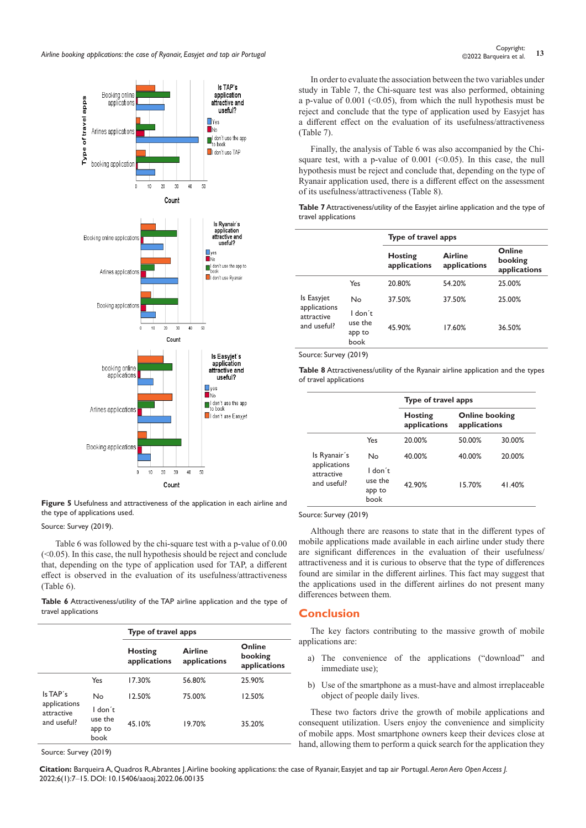

**Figure 5** Usefulness and attractiveness of the application in each airline and the type of applications used.

Source: Survey (2019).

Table 6 was followed by the chi-square test with a p-value of 0.00  $( $0.05$ ). In this case, the null hypothesis should be reject and conclude$ that, depending on the type of application used for TAP, a different effect is observed in the evaluation of its usefulness/attractiveness (Table 6).

**Table 6** Attractiveness/utility of the TAP airline application and the type of travel applications

|                                           |                                      | Type of travel apps            |                                |                                   |
|-------------------------------------------|--------------------------------------|--------------------------------|--------------------------------|-----------------------------------|
|                                           |                                      | <b>Hosting</b><br>applications | <b>Airline</b><br>applications | Online<br>booking<br>applications |
|                                           | Yes                                  | 17.30%                         | 56.80%                         | 25.90%                            |
| Is TAP's                                  | No                                   | 12.50%                         | 75.00%                         | 12.50%                            |
| applications<br>attractive<br>and useful? | I don't<br>use the<br>app to<br>book | 45.10%                         | 19.70%                         | 35.20%                            |
|                                           |                                      |                                |                                |                                   |

Source: Survey (2019)

In order to evaluate the association between the two variables under study in Table 7, the Chi-square test was also performed, obtaining a p-value of  $0.001$  (<0.05), from which the null hypothesis must be reject and conclude that the type of application used by Easyjet has a different effect on the evaluation of its usefulness/attractiveness (Table 7).

Finally, the analysis of Table 6 was also accompanied by the Chisquare test, with a p-value of  $0.001$  ( $0.05$ ). In this case, the null hypothesis must be reject and conclude that, depending on the type of Ryanair application used, there is a different effect on the assessment of its usefulness/attractiveness (Table 8).

**Table 7** Attractiveness/utility of the Easyjet airline application and the type of travel applications

|                                           |                                      | Type of travel apps            |                                |                                   |
|-------------------------------------------|--------------------------------------|--------------------------------|--------------------------------|-----------------------------------|
|                                           |                                      | <b>Hosting</b><br>applications | <b>Airline</b><br>applications | Online<br>booking<br>applications |
|                                           | Yes                                  | 20.80%                         | 54.20%                         | 25.00%                            |
| Is Easyjet                                | No                                   | 37.50%                         | 37.50%                         | 25.00%                            |
| applications<br>attractive<br>and useful? | I don't<br>use the<br>app to<br>book | 45.90%                         | 17.60%                         | 36.50%                            |

Source: Survey (2019)

**Table 8** Attractiveness/utility of the Ryanair airline application and the types of travel applications

|                                           |                                      | Type of travel apps     |                                       |        |  |
|-------------------------------------------|--------------------------------------|-------------------------|---------------------------------------|--------|--|
|                                           |                                      | Hosting<br>applications | <b>Online booking</b><br>applications |        |  |
|                                           | Yes                                  | 20.00%                  | 50.00%                                | 30.00% |  |
| Is Ryanair's                              | Nο                                   | 40.00%                  | 40.00%                                | 20.00% |  |
| applications<br>attractive<br>and useful? | I don't<br>use the<br>app to<br>book | 42.90%                  | 15.70%                                | 41.40% |  |

Source: Survey (2019)

Although there are reasons to state that in the different types of mobile applications made available in each airline under study there are significant differences in the evaluation of their usefulness/ attractiveness and it is curious to observe that the type of differences found are similar in the different airlines. This fact may suggest that the applications used in the different airlines do not present many differences between them.

# **Conclusion**

The key factors contributing to the massive growth of mobile applications are:

- a) The convenience of the applications ("download" and immediate use);
- b) Use of the smartphone as a must-have and almost irreplaceable object of people daily lives.

These two factors drive the growth of mobile applications and consequent utilization. Users enjoy the convenience and simplicity of mobile apps. Most smartphone owners keep their devices close at hand, allowing them to perform a quick search for the application they

**Citation:** Barqueira A, Quadros R, Abrantes J. Airline booking applications: the case of Ryanair, Easyjet and tap air Portugal. *Aeron Aero Open Access J.* 2022;6(1):7‒15. DOI: [10.15406/aaoaj.2022.06.00135](https://doi.org/10.15406/aaoaj.2022.06.00135)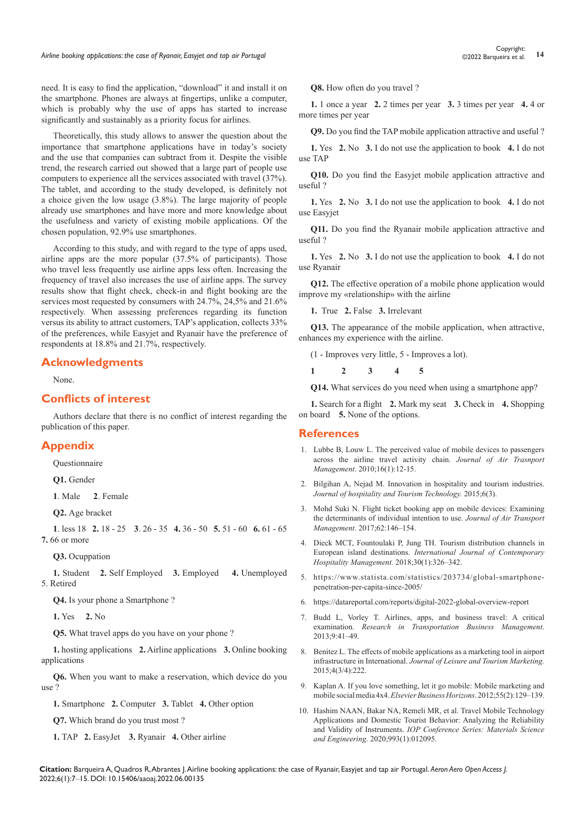need. It is easy to find the application, "download" it and install it on the smartphone. Phones are always at fingertips, unlike a computer, which is probably why the use of apps has started to increase significantly and sustainably as a priority focus for airlines.

Theoretically, this study allows to answer the question about the importance that smartphone applications have in today's society and the use that companies can subtract from it. Despite the visible trend, the research carried out showed that a large part of people use computers to experience all the services associated with travel (37%). The tablet, and according to the study developed, is definitely not a choice given the low usage (3.8%). The large majority of people already use smartphones and have more and more knowledge about the usefulness and variety of existing mobile applications. Of the chosen population, 92.9% use smartphones.

According to this study, and with regard to the type of apps used, airline apps are the more popular (37.5% of participants). Those who travel less frequently use airline apps less often. Increasing the frequency of travel also increases the use of airline apps. The survey results show that flight check, check-in and flight booking are the services most requested by consumers with 24.7%, 24,5% and 21.6% respectively. When assessing preferences regarding its function versus its ability to attract customers, TAP's application, collects 33% of the preferences, while Easyjet and Ryanair have the preference of respondents at 18.8% and 21.7%, respectively.

### **Acknowledgments**

None.

# **Conflicts of interest**

Authors declare that there is no conflict of interest regarding the publication of this paper.

## **Appendix**

Questionnaire

**Q1.** Gender

**1**. Male **2**. Female

**Q2.** Age bracket

**1**. less 18 **2.** 18 - 25 **3**. 26 - 35 **4.** 36 - 50 **5.** 51 - 60 **6.** 61 - 65 **7.** 66 or more

**Q3.** Ocuppation

**1.** Student **2.** Self Employed **3.** Employed **4.** Unemployed 5. Retired

**Q4.** Is your phone a Smartphone ?

**1.** Yes **2.** No

**Q5.** What travel apps do you have on your phone ?

**1.** hosting applications **2.** Airline applications **3.** Online booking applications

**Q6.** When you want to make a reservation, which device do you use ?

**1.** Smartphone **2.** Computer **3.** Tablet **4.** Other option

**Q7.** Which brand do you trust most ?

**1.** TAP **2.** EasyJet **3.** Ryanair **4.** Other airline

**Q8.** How often do you travel ?

**1.** 1 once a year **2.** 2 times per year **3.** 3 times per year **4.** 4 or more times per year

**Q9.** Do you find the TAP mobile application attractive and useful ?

**1.** Yes **2.** No **3.** I do not use the application to book **4.** I do not use TAP

**Q10.** Do you find the Easyjet mobile application attractive and useful ?

**1.** Yes **2.** No **3.** I do not use the application to book **4.** I do not use Easyjet

**Q11.** Do you find the Ryanair mobile application attractive and useful ?

**1.** Yes **2.** No **3.** I do not use the application to book **4.** I do not use Ryanair

**Q12.** The effective operation of a mobile phone application would improve my «relationship» with the airline

**1.** True **2.** False **3.** Irrelevant

**Q13.** The appearance of the mobile application, when attractive, enhances my experience with the airline.

(1 - Improves very little, 5 - Improves a lot).

**1 2 3 4 5**

**Q14.** What services do you need when using a smartphone app?

**1.** Search for a flight **2.** Mark my seat **3.** Check in **4.** Shopping on board **5.** None of the options.

#### **References**

- 1. Lubbe B, Louw L. The perceived value of mobile devices to passengers across the airline travel activity chain. *Journal of Air Trasnport Management*. 2010;16(1):12-15.
- 2. [Bilgihan A, Nejad M. Innovation in hospitality and tourism industries.](https://www.emerald.com/insight/content/doi/10.1108/JHTT-08-2015-0033/full/html)  *[Journal of hospitality and Tourism Technology.](https://www.emerald.com/insight/content/doi/10.1108/JHTT-08-2015-0033/full/html)* 2015;6(3).
- 3. [Mohd Suki N. Flight ticket booking app on mobile devices: Examining](https://www.sciencedirect.com/science/article/abs/pii/S0969699717300388)  [the determinants of individual intention to use.](https://www.sciencedirect.com/science/article/abs/pii/S0969699717300388) *Journal of Air Transport Management*[. 2017;62:146‒154.](https://www.sciencedirect.com/science/article/abs/pii/S0969699717300388)
- 4. [Dieck MCT, Fountoulaki P, Jung TH. Tourism distribution channels in](https://www.emerald.com/insight/content/doi/10.1108/IJCHM-12-2016-0649/full/html)  European island destinations. *[International Journal of Contemporary](https://www.emerald.com/insight/content/doi/10.1108/IJCHM-12-2016-0649/full/html)  [Hospitality Management.](https://www.emerald.com/insight/content/doi/10.1108/IJCHM-12-2016-0649/full/html)* 2018;30(1):326‒342.
- 5. [https://www.statista.com/statistics/203734/global-smartphone](https://www.statista.com/statistics/203734/global-smartphone-penetration-per-capita-since-2005/)[penetration-per-capita-since-2005/](https://www.statista.com/statistics/203734/global-smartphone-penetration-per-capita-since-2005/)
- 6. <https://datareportal.com/reports/digital-2022-global-overview-report>
- 7. [Budd L, Vorley T. Airlines, apps, and business travel: A critical](https://www.infona.pl/resource/bwmeta1.element.elsevier-0a0d8936-84fc-3d33-adae-65b94a7e1766)  examination. *[Research in Transportation Business Management](https://www.infona.pl/resource/bwmeta1.element.elsevier-0a0d8936-84fc-3d33-adae-65b94a7e1766)*. [2013;9:41‒49.](https://www.infona.pl/resource/bwmeta1.element.elsevier-0a0d8936-84fc-3d33-adae-65b94a7e1766)
- 8. [Benitez L. The effects of mobile applications as a marketing tool in airport](https://www.inderscienceonline.com/doi/abs/10.1504/IJLTM.2015.072118)  infrastructure in International. *[Journal of Leisure and Tourism Marketing.](https://www.inderscienceonline.com/doi/abs/10.1504/IJLTM.2015.072118)*  [2015;4\(3/4\):222.](https://www.inderscienceonline.com/doi/abs/10.1504/IJLTM.2015.072118)
- 9. [Kaplan A. If you love something, let it go mobile: Mobile marketing and](https://www.sciencedirect.com/science/article/abs/pii/S0007681311001558)  mobile social media 4x4. *[Elsevier Business Horizons](https://www.sciencedirect.com/science/article/abs/pii/S0007681311001558)*. 2012;55(2):129-139.
- 10. [Hashim NAAN, Bakar NA, Remeli MR, et al. Travel Mobile Technology](https://iopscience.iop.org/article/10.1088/1757-899X/993/1/012095)  [Applications and Domestic Tourist Behavior: Analyzing the Reliability](https://iopscience.iop.org/article/10.1088/1757-899X/993/1/012095)  and Validity of Instruments. *[IOP Conference Series: Materials Science](https://iopscience.iop.org/article/10.1088/1757-899X/993/1/012095)  and Engineering*[. 2020;993\(1\):012095.](https://iopscience.iop.org/article/10.1088/1757-899X/993/1/012095)